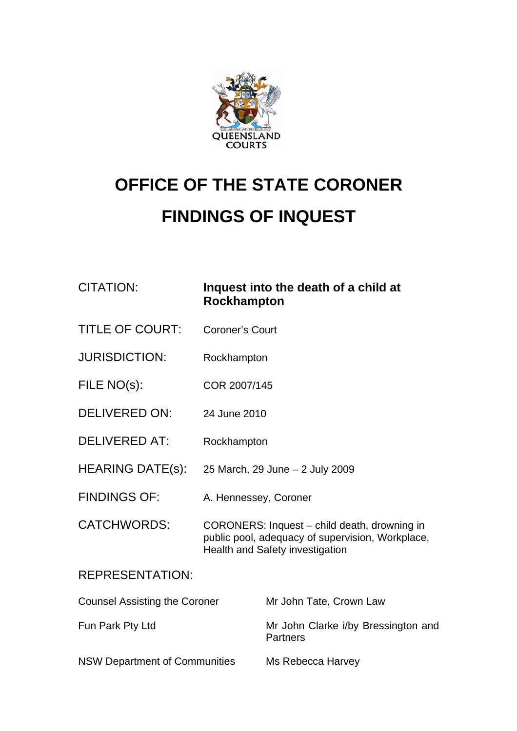

# **OFFICE OF THE STATE CORONER**

# **FINDINGS OF INQUEST**

| <b>CITATION:</b>                     | Inquest into the death of a child at<br><b>Rockhampton</b>                                                                                 |                                                        |
|--------------------------------------|--------------------------------------------------------------------------------------------------------------------------------------------|--------------------------------------------------------|
| <b>TITLE OF COURT:</b>               | <b>Coroner's Court</b>                                                                                                                     |                                                        |
| <b>JURISDICTION:</b>                 | Rockhampton                                                                                                                                |                                                        |
| FILE NO(s):                          | COR 2007/145                                                                                                                               |                                                        |
| <b>DELIVERED ON:</b>                 | 24 June 2010                                                                                                                               |                                                        |
| <b>DELIVERED AT:</b>                 | Rockhampton                                                                                                                                |                                                        |
| <b>HEARING DATE(s):</b>              | 25 March, 29 June - 2 July 2009                                                                                                            |                                                        |
| <b>FINDINGS OF:</b>                  | A. Hennessey, Coroner                                                                                                                      |                                                        |
| <b>CATCHWORDS:</b>                   | CORONERS: Inquest - child death, drowning in<br>public pool, adequacy of supervision, Workplace,<br><b>Health and Safety investigation</b> |                                                        |
| <b>REPRESENTATION:</b>               |                                                                                                                                            |                                                        |
| <b>Counsel Assisting the Coroner</b> |                                                                                                                                            | Mr John Tate, Crown Law                                |
| Fun Park Pty Ltd                     |                                                                                                                                            | Mr John Clarke i/by Bressington and<br><b>Partners</b> |
| <b>NSW Department of Communities</b> |                                                                                                                                            | Ms Rebecca Harvey                                      |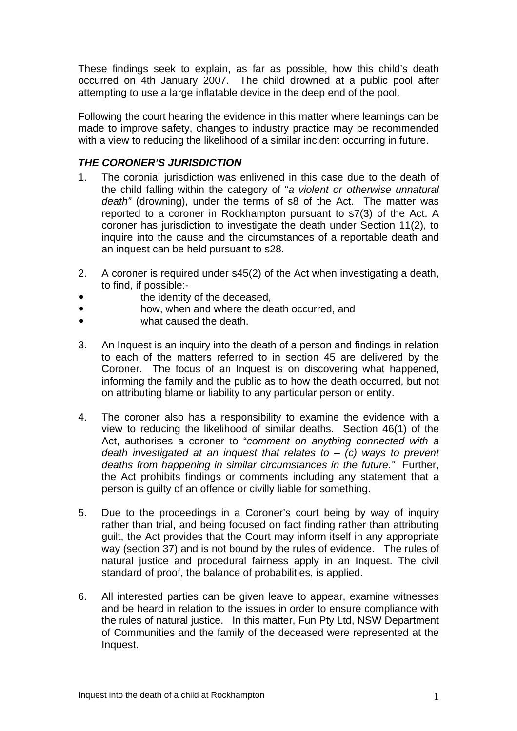These findings seek to explain, as far as possible, how this child's death occurred on 4th January 2007. The child drowned at a public pool after attempting to use a large inflatable device in the deep end of the pool.

Following the court hearing the evidence in this matter where learnings can be made to improve safety, changes to industry practice may be recommended with a view to reducing the likelihood of a similar incident occurring in future.

# *THE CORONER'S JURISDICTION*

- 1. The coronial jurisdiction was enlivened in this case due to the death of the child falling within the category of "*a violent or otherwise unnatural death"* (drowning), under the terms of s8 of the Act. The matter was reported to a coroner in Rockhampton pursuant to s7(3) of the Act. A coroner has jurisdiction to investigate the death under Section 11(2), to inquire into the cause and the circumstances of a reportable death and an inquest can be held pursuant to s28.
- 2. A coroner is required under s45(2) of the Act when investigating a death, to find, if possible:
	- the identity of the deceased,
- **how, when and where the death occurred, and**
- what caused the death.
- 3. An Inquest is an inquiry into the death of a person and findings in relation to each of the matters referred to in section 45 are delivered by the Coroner. The focus of an Inquest is on discovering what happened, informing the family and the public as to how the death occurred, but not on attributing blame or liability to any particular person or entity.
- 4. The coroner also has a responsibility to examine the evidence with a view to reducing the likelihood of similar deaths. Section 46(1) of the Act, authorises a coroner to "*comment on anything connected with a death investigated at an inquest that relates to* – *(c) ways to prevent deaths from happening in similar circumstances in the future."* Further, the Act prohibits findings or comments including any statement that a person is guilty of an offence or civilly liable for something.
- 5. Due to the proceedings in a Coroner's court being by way of inquiry rather than trial, and being focused on fact finding rather than attributing guilt, the Act provides that the Court may inform itself in any appropriate way (section 37) and is not bound by the rules of evidence. The rules of natural justice and procedural fairness apply in an Inquest. The civil standard of proof, the balance of probabilities, is applied.
- 6. All interested parties can be given leave to appear, examine witnesses and be heard in relation to the issues in order to ensure compliance with the rules of natural justice. In this matter, Fun Pty Ltd, NSW Department of Communities and the family of the deceased were represented at the Inquest.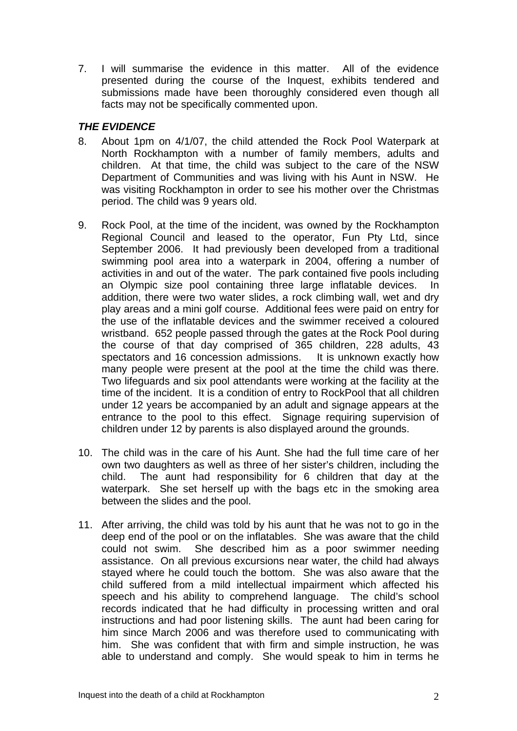7. I will summarise the evidence in this matter. All of the evidence presented during the course of the Inquest, exhibits tendered and submissions made have been thoroughly considered even though all facts may not be specifically commented upon.

# *THE EVIDENCE*

- 8. About 1pm on 4/1/07, the child attended the Rock Pool Waterpark at North Rockhampton with a number of family members, adults and children. At that time, the child was subject to the care of the NSW Department of Communities and was living with his Aunt in NSW. He was visiting Rockhampton in order to see his mother over the Christmas period. The child was 9 years old.
- 9. Rock Pool, at the time of the incident, was owned by the Rockhampton Regional Council and leased to the operator, Fun Pty Ltd, since September 2006. It had previously been developed from a traditional swimming pool area into a waterpark in 2004, offering a number of activities in and out of the water. The park contained five pools including an Olympic size pool containing three large inflatable devices. In addition, there were two water slides, a rock climbing wall, wet and dry play areas and a mini golf course. Additional fees were paid on entry for the use of the inflatable devices and the swimmer received a coloured wristband. 652 people passed through the gates at the Rock Pool during the course of that day comprised of 365 children, 228 adults, 43 spectators and 16 concession admissions. It is unknown exactly how many people were present at the pool at the time the child was there. Two lifeguards and six pool attendants were working at the facility at the time of the incident. It is a condition of entry to RockPool that all children under 12 years be accompanied by an adult and signage appears at the entrance to the pool to this effect. Signage requiring supervision of children under 12 by parents is also displayed around the grounds.
- 10. The child was in the care of his Aunt. She had the full time care of her own two daughters as well as three of her sister's children, including the child. The aunt had responsibility for 6 children that day at the waterpark. She set herself up with the bags etc in the smoking area between the slides and the pool.
- 11. After arriving, the child was told by his aunt that he was not to go in the deep end of the pool or on the inflatables. She was aware that the child could not swim. She described him as a poor swimmer needing assistance. On all previous excursions near water, the child had always stayed where he could touch the bottom. She was also aware that the child suffered from a mild intellectual impairment which affected his speech and his ability to comprehend language. The child's school records indicated that he had difficulty in processing written and oral instructions and had poor listening skills. The aunt had been caring for him since March 2006 and was therefore used to communicating with him. She was confident that with firm and simple instruction, he was able to understand and comply. She would speak to him in terms he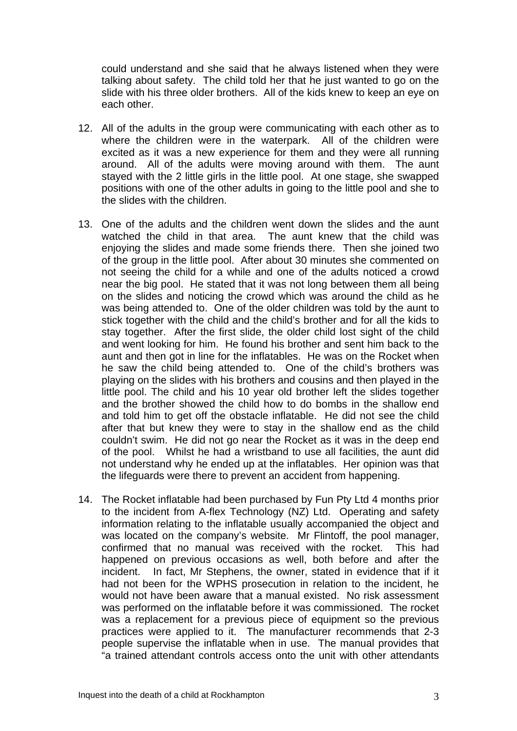could understand and she said that he always listened when they were talking about safety. The child told her that he just wanted to go on the slide with his three older brothers. All of the kids knew to keep an eye on each other.

- 12. All of the adults in the group were communicating with each other as to where the children were in the waterpark. All of the children were excited as it was a new experience for them and they were all running around. All of the adults were moving around with them. The aunt stayed with the 2 little girls in the little pool. At one stage, she swapped positions with one of the other adults in going to the little pool and she to the slides with the children.
- 13. One of the adults and the children went down the slides and the aunt watched the child in that area. The aunt knew that the child was enjoying the slides and made some friends there. Then she joined two of the group in the little pool. After about 30 minutes she commented on not seeing the child for a while and one of the adults noticed a crowd near the big pool. He stated that it was not long between them all being on the slides and noticing the crowd which was around the child as he was being attended to. One of the older children was told by the aunt to stick together with the child and the child's brother and for all the kids to stay together. After the first slide, the older child lost sight of the child and went looking for him. He found his brother and sent him back to the aunt and then got in line for the inflatables. He was on the Rocket when he saw the child being attended to. One of the child's brothers was playing on the slides with his brothers and cousins and then played in the little pool. The child and his 10 year old brother left the slides together and the brother showed the child how to do bombs in the shallow end and told him to get off the obstacle inflatable. He did not see the child after that but knew they were to stay in the shallow end as the child couldn't swim. He did not go near the Rocket as it was in the deep end of the pool. Whilst he had a wristband to use all facilities, the aunt did not understand why he ended up at the inflatables. Her opinion was that the lifeguards were there to prevent an accident from happening.
- 14. The Rocket inflatable had been purchased by Fun Pty Ltd 4 months prior to the incident from A-flex Technology (NZ) Ltd. Operating and safety information relating to the inflatable usually accompanied the object and was located on the company's website. Mr Flintoff, the pool manager, confirmed that no manual was received with the rocket. This had happened on previous occasions as well, both before and after the incident. In fact, Mr Stephens, the owner, stated in evidence that if it had not been for the WPHS prosecution in relation to the incident, he would not have been aware that a manual existed. No risk assessment was performed on the inflatable before it was commissioned. The rocket was a replacement for a previous piece of equipment so the previous practices were applied to it. The manufacturer recommends that 2-3 people supervise the inflatable when in use. The manual provides that "a trained attendant controls access onto the unit with other attendants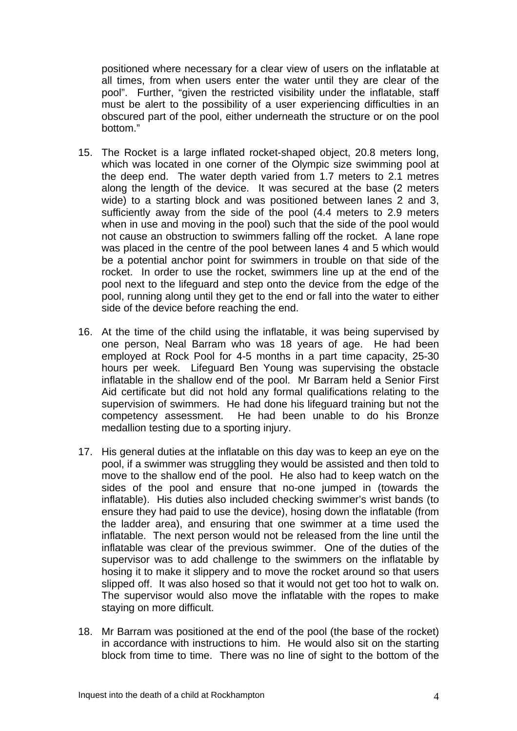positioned where necessary for a clear view of users on the inflatable at all times, from when users enter the water until they are clear of the pool". Further, "given the restricted visibility under the inflatable, staff must be alert to the possibility of a user experiencing difficulties in an obscured part of the pool, either underneath the structure or on the pool bottom."

- 15. The Rocket is a large inflated rocket-shaped object, 20.8 meters long, which was located in one corner of the Olympic size swimming pool at the deep end. The water depth varied from 1.7 meters to 2.1 metres along the length of the device. It was secured at the base (2 meters wide) to a starting block and was positioned between lanes 2 and 3, sufficiently away from the side of the pool (4.4 meters to 2.9 meters when in use and moving in the pool) such that the side of the pool would not cause an obstruction to swimmers falling off the rocket. A lane rope was placed in the centre of the pool between lanes 4 and 5 which would be a potential anchor point for swimmers in trouble on that side of the rocket. In order to use the rocket, swimmers line up at the end of the pool next to the lifeguard and step onto the device from the edge of the pool, running along until they get to the end or fall into the water to either side of the device before reaching the end.
- 16. At the time of the child using the inflatable, it was being supervised by one person, Neal Barram who was 18 years of age. He had been employed at Rock Pool for 4-5 months in a part time capacity, 25-30 hours per week. Lifeguard Ben Young was supervising the obstacle inflatable in the shallow end of the pool. Mr Barram held a Senior First Aid certificate but did not hold any formal qualifications relating to the supervision of swimmers. He had done his lifeguard training but not the competency assessment. He had been unable to do his Bronze medallion testing due to a sporting injury.
- 17. His general duties at the inflatable on this day was to keep an eye on the pool, if a swimmer was struggling they would be assisted and then told to move to the shallow end of the pool. He also had to keep watch on the sides of the pool and ensure that no-one jumped in (towards the inflatable). His duties also included checking swimmer's wrist bands (to ensure they had paid to use the device), hosing down the inflatable (from the ladder area), and ensuring that one swimmer at a time used the inflatable. The next person would not be released from the line until the inflatable was clear of the previous swimmer. One of the duties of the supervisor was to add challenge to the swimmers on the inflatable by hosing it to make it slippery and to move the rocket around so that users slipped off. It was also hosed so that it would not get too hot to walk on. The supervisor would also move the inflatable with the ropes to make staying on more difficult.
- 18. Mr Barram was positioned at the end of the pool (the base of the rocket) in accordance with instructions to him. He would also sit on the starting block from time to time. There was no line of sight to the bottom of the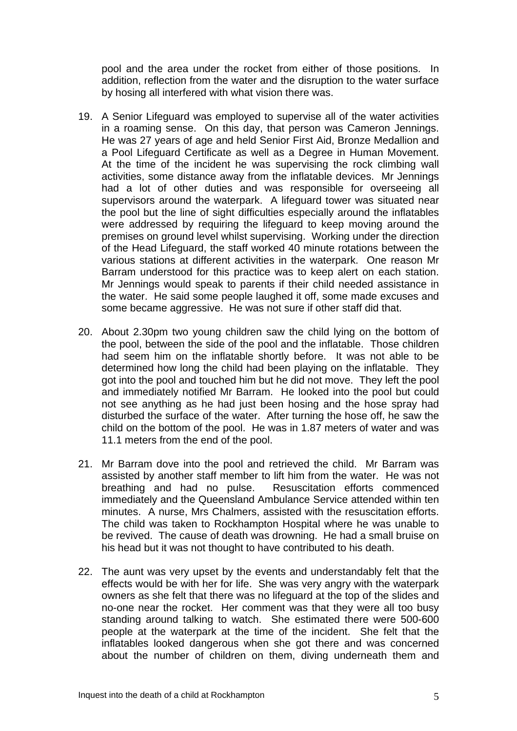pool and the area under the rocket from either of those positions. In addition, reflection from the water and the disruption to the water surface by hosing all interfered with what vision there was.

- 19. A Senior Lifeguard was employed to supervise all of the water activities in a roaming sense. On this day, that person was Cameron Jennings. He was 27 years of age and held Senior First Aid, Bronze Medallion and a Pool Lifeguard Certificate as well as a Degree in Human Movement. At the time of the incident he was supervising the rock climbing wall activities, some distance away from the inflatable devices. Mr Jennings had a lot of other duties and was responsible for overseeing all supervisors around the waterpark. A lifeguard tower was situated near the pool but the line of sight difficulties especially around the inflatables were addressed by requiring the lifeguard to keep moving around the premises on ground level whilst supervising. Working under the direction of the Head Lifeguard, the staff worked 40 minute rotations between the various stations at different activities in the waterpark. One reason Mr Barram understood for this practice was to keep alert on each station. Mr Jennings would speak to parents if their child needed assistance in the water. He said some people laughed it off, some made excuses and some became aggressive. He was not sure if other staff did that.
- 20. About 2.30pm two young children saw the child lying on the bottom of the pool, between the side of the pool and the inflatable. Those children had seem him on the inflatable shortly before. It was not able to be determined how long the child had been playing on the inflatable. They got into the pool and touched him but he did not move. They left the pool and immediately notified Mr Barram. He looked into the pool but could not see anything as he had just been hosing and the hose spray had disturbed the surface of the water. After turning the hose off, he saw the child on the bottom of the pool. He was in 1.87 meters of water and was 11.1 meters from the end of the pool.
- 21. Mr Barram dove into the pool and retrieved the child. Mr Barram was assisted by another staff member to lift him from the water. He was not breathing and had no pulse. Resuscitation efforts commenced immediately and the Queensland Ambulance Service attended within ten minutes. A nurse, Mrs Chalmers, assisted with the resuscitation efforts. The child was taken to Rockhampton Hospital where he was unable to be revived. The cause of death was drowning. He had a small bruise on his head but it was not thought to have contributed to his death.
- 22. The aunt was very upset by the events and understandably felt that the effects would be with her for life. She was very angry with the waterpark owners as she felt that there was no lifeguard at the top of the slides and no-one near the rocket. Her comment was that they were all too busy standing around talking to watch. She estimated there were 500-600 people at the waterpark at the time of the incident. She felt that the inflatables looked dangerous when she got there and was concerned about the number of children on them, diving underneath them and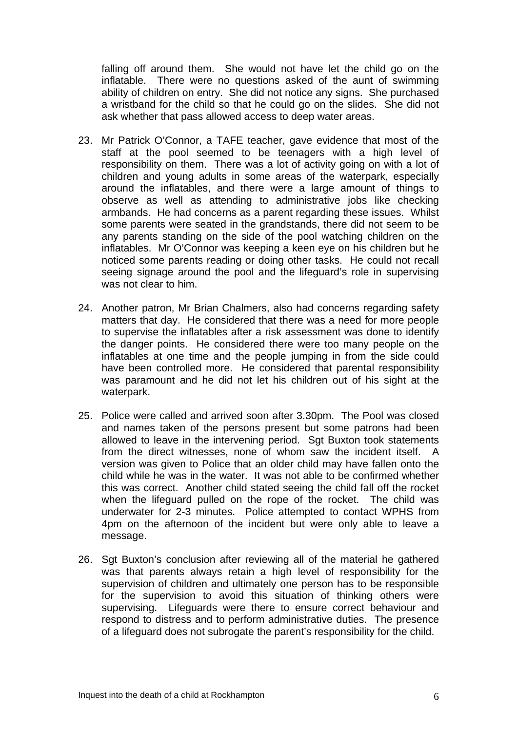falling off around them. She would not have let the child go on the inflatable. There were no questions asked of the aunt of swimming ability of children on entry. She did not notice any signs. She purchased a wristband for the child so that he could go on the slides. She did not ask whether that pass allowed access to deep water areas.

- 23. Mr Patrick O'Connor, a TAFE teacher, gave evidence that most of the staff at the pool seemed to be teenagers with a high level of responsibility on them. There was a lot of activity going on with a lot of children and young adults in some areas of the waterpark, especially around the inflatables, and there were a large amount of things to observe as well as attending to administrative jobs like checking armbands. He had concerns as a parent regarding these issues. Whilst some parents were seated in the grandstands, there did not seem to be any parents standing on the side of the pool watching children on the inflatables. Mr O'Connor was keeping a keen eye on his children but he noticed some parents reading or doing other tasks. He could not recall seeing signage around the pool and the lifeguard's role in supervising was not clear to him.
- 24. Another patron, Mr Brian Chalmers, also had concerns regarding safety matters that day. He considered that there was a need for more people to supervise the inflatables after a risk assessment was done to identify the danger points. He considered there were too many people on the inflatables at one time and the people jumping in from the side could have been controlled more. He considered that parental responsibility was paramount and he did not let his children out of his sight at the waterpark.
- 25. Police were called and arrived soon after 3.30pm. The Pool was closed and names taken of the persons present but some patrons had been allowed to leave in the intervening period. Sgt Buxton took statements from the direct witnesses, none of whom saw the incident itself. A version was given to Police that an older child may have fallen onto the child while he was in the water. It was not able to be confirmed whether this was correct. Another child stated seeing the child fall off the rocket when the lifeguard pulled on the rope of the rocket. The child was underwater for 2-3 minutes. Police attempted to contact WPHS from 4pm on the afternoon of the incident but were only able to leave a message.
- 26. Sat Buxton's conclusion after reviewing all of the material he gathered was that parents always retain a high level of responsibility for the supervision of children and ultimately one person has to be responsible for the supervision to avoid this situation of thinking others were supervising. Lifeguards were there to ensure correct behaviour and respond to distress and to perform administrative duties. The presence of a lifeguard does not subrogate the parent's responsibility for the child.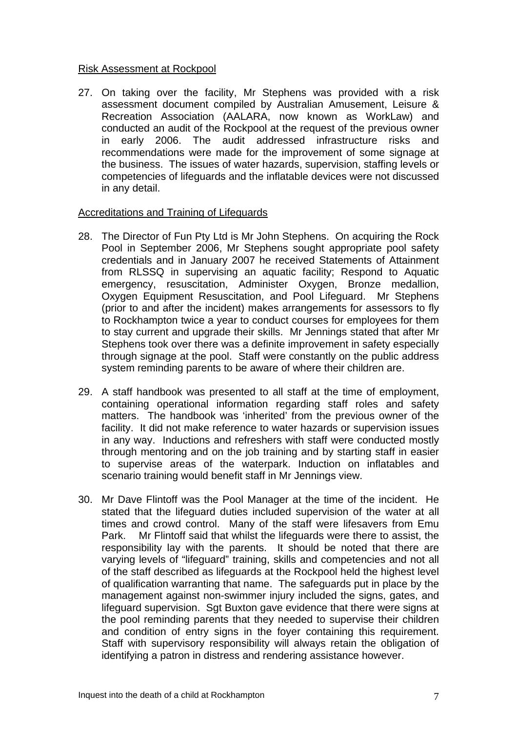#### Risk Assessment at Rockpool

27. On taking over the facility, Mr Stephens was provided with a risk assessment document compiled by Australian Amusement, Leisure & Recreation Association (AALARA, now known as WorkLaw) and conducted an audit of the Rockpool at the request of the previous owner in early 2006. The audit addressed infrastructure risks and recommendations were made for the improvement of some signage at the business. The issues of water hazards, supervision, staffing levels or competencies of lifeguards and the inflatable devices were not discussed in any detail.

#### Accreditations and Training of Lifeguards

- 28. The Director of Fun Pty Ltd is Mr John Stephens. On acquiring the Rock Pool in September 2006, Mr Stephens sought appropriate pool safety credentials and in January 2007 he received Statements of Attainment from RLSSQ in supervising an aquatic facility; Respond to Aquatic emergency, resuscitation, Administer Oxygen, Bronze medallion, Oxygen Equipment Resuscitation, and Pool Lifeguard. Mr Stephens (prior to and after the incident) makes arrangements for assessors to fly to Rockhampton twice a year to conduct courses for employees for them to stay current and upgrade their skills. Mr Jennings stated that after Mr Stephens took over there was a definite improvement in safety especially through signage at the pool. Staff were constantly on the public address system reminding parents to be aware of where their children are.
- 29. A staff handbook was presented to all staff at the time of employment, containing operational information regarding staff roles and safety matters. The handbook was 'inherited' from the previous owner of the facility. It did not make reference to water hazards or supervision issues in any way. Inductions and refreshers with staff were conducted mostly through mentoring and on the job training and by starting staff in easier to supervise areas of the waterpark. Induction on inflatables and scenario training would benefit staff in Mr Jennings view.
- 30. Mr Dave Flintoff was the Pool Manager at the time of the incident. He stated that the lifeguard duties included supervision of the water at all times and crowd control. Many of the staff were lifesavers from Emu Park. Mr Flintoff said that whilst the lifeguards were there to assist, the responsibility lay with the parents. It should be noted that there are varying levels of "lifeguard" training, skills and competencies and not all of the staff described as lifeguards at the Rockpool held the highest level of qualification warranting that name. The safeguards put in place by the management against non-swimmer injury included the signs, gates, and lifeguard supervision. Sgt Buxton gave evidence that there were signs at the pool reminding parents that they needed to supervise their children and condition of entry signs in the foyer containing this requirement. Staff with supervisory responsibility will always retain the obligation of identifying a patron in distress and rendering assistance however.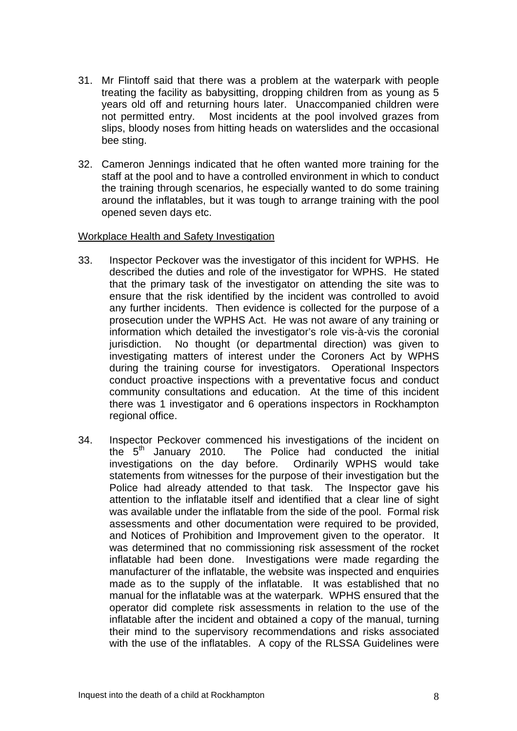- 31. Mr Flintoff said that there was a problem at the waterpark with people treating the facility as babysitting, dropping children from as young as 5 years old off and returning hours later. Unaccompanied children were not permitted entry. Most incidents at the pool involved grazes from slips, bloody noses from hitting heads on waterslides and the occasional bee sting.
- 32. Cameron Jennings indicated that he often wanted more training for the staff at the pool and to have a controlled environment in which to conduct the training through scenarios, he especially wanted to do some training around the inflatables, but it was tough to arrange training with the pool opened seven days etc.

#### Workplace Health and Safety Investigation

- 33. Inspector Peckover was the investigator of this incident for WPHS. He described the duties and role of the investigator for WPHS. He stated that the primary task of the investigator on attending the site was to ensure that the risk identified by the incident was controlled to avoid any further incidents. Then evidence is collected for the purpose of a prosecution under the WPHS Act. He was not aware of any training or information which detailed the investigator's role vis-à-vis the coronial jurisdiction. No thought (or departmental direction) was given to investigating matters of interest under the Coroners Act by WPHS during the training course for investigators. Operational Inspectors conduct proactive inspections with a preventative focus and conduct community consultations and education. At the time of this incident there was 1 investigator and 6 operations inspectors in Rockhampton regional office.
- 34. Inspector Peckover commenced his investigations of the incident on the  $5<sup>th</sup>$  January 2010. The Police had conducted the initial investigations on the day before. Ordinarily WPHS would take statements from witnesses for the purpose of their investigation but the Police had already attended to that task. The Inspector gave his attention to the inflatable itself and identified that a clear line of sight was available under the inflatable from the side of the pool. Formal risk assessments and other documentation were required to be provided, and Notices of Prohibition and Improvement given to the operator. It was determined that no commissioning risk assessment of the rocket inflatable had been done. Investigations were made regarding the manufacturer of the inflatable, the website was inspected and enquiries made as to the supply of the inflatable. It was established that no manual for the inflatable was at the waterpark. WPHS ensured that the operator did complete risk assessments in relation to the use of the inflatable after the incident and obtained a copy of the manual, turning their mind to the supervisory recommendations and risks associated with the use of the inflatables. A copy of the RLSSA Guidelines were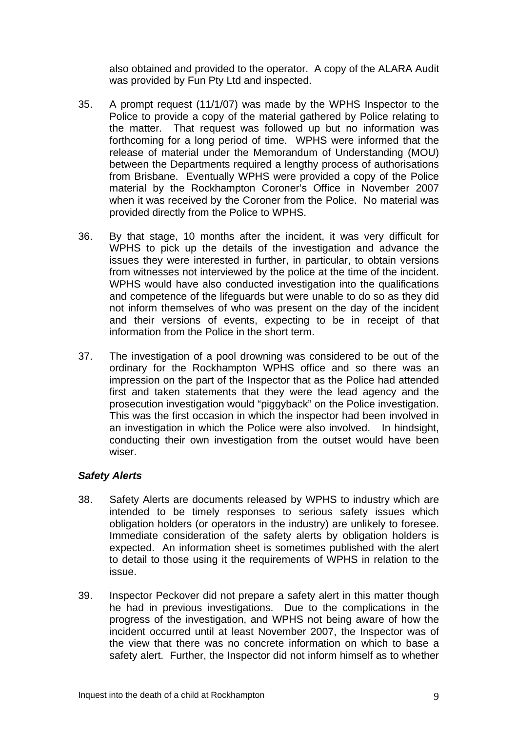also obtained and provided to the operator. A copy of the ALARA Audit was provided by Fun Pty Ltd and inspected.

- 35. A prompt request (11/1/07) was made by the WPHS Inspector to the Police to provide a copy of the material gathered by Police relating to the matter. That request was followed up but no information was forthcoming for a long period of time. WPHS were informed that the release of material under the Memorandum of Understanding (MOU) between the Departments required a lengthy process of authorisations from Brisbane. Eventually WPHS were provided a copy of the Police material by the Rockhampton Coroner's Office in November 2007 when it was received by the Coroner from the Police. No material was provided directly from the Police to WPHS.
- 36. By that stage, 10 months after the incident, it was very difficult for WPHS to pick up the details of the investigation and advance the issues they were interested in further, in particular, to obtain versions from witnesses not interviewed by the police at the time of the incident. WPHS would have also conducted investigation into the qualifications and competence of the lifeguards but were unable to do so as they did not inform themselves of who was present on the day of the incident and their versions of events, expecting to be in receipt of that information from the Police in the short term.
- 37. The investigation of a pool drowning was considered to be out of the ordinary for the Rockhampton WPHS office and so there was an impression on the part of the Inspector that as the Police had attended first and taken statements that they were the lead agency and the prosecution investigation would "piggyback" on the Police investigation. This was the first occasion in which the inspector had been involved in an investigation in which the Police were also involved. In hindsight, conducting their own investigation from the outset would have been wiser.

# *Safety Alerts*

- 38. Safety Alerts are documents released by WPHS to industry which are intended to be timely responses to serious safety issues which obligation holders (or operators in the industry) are unlikely to foresee. Immediate consideration of the safety alerts by obligation holders is expected. An information sheet is sometimes published with the alert to detail to those using it the requirements of WPHS in relation to the issue.
- 39. Inspector Peckover did not prepare a safety alert in this matter though he had in previous investigations. Due to the complications in the progress of the investigation, and WPHS not being aware of how the incident occurred until at least November 2007, the Inspector was of the view that there was no concrete information on which to base a safety alert. Further, the Inspector did not inform himself as to whether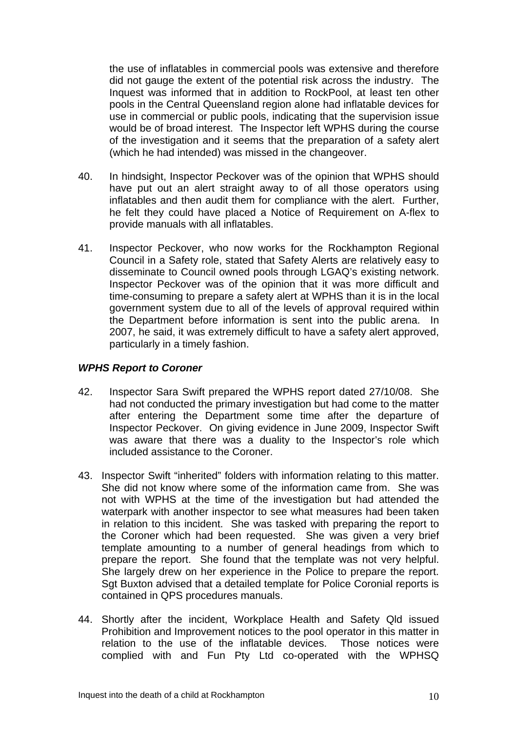the use of inflatables in commercial pools was extensive and therefore did not gauge the extent of the potential risk across the industry. The Inquest was informed that in addition to RockPool, at least ten other pools in the Central Queensland region alone had inflatable devices for use in commercial or public pools, indicating that the supervision issue would be of broad interest. The Inspector left WPHS during the course of the investigation and it seems that the preparation of a safety alert (which he had intended) was missed in the changeover.

- 40. In hindsight, Inspector Peckover was of the opinion that WPHS should have put out an alert straight away to of all those operators using inflatables and then audit them for compliance with the alert. Further, he felt they could have placed a Notice of Requirement on A-flex to provide manuals with all inflatables.
- 41. Inspector Peckover, who now works for the Rockhampton Regional Council in a Safety role, stated that Safety Alerts are relatively easy to disseminate to Council owned pools through LGAQ's existing network. Inspector Peckover was of the opinion that it was more difficult and time-consuming to prepare a safety alert at WPHS than it is in the local government system due to all of the levels of approval required within the Department before information is sent into the public arena. In 2007, he said, it was extremely difficult to have a safety alert approved, particularly in a timely fashion.

# *WPHS Report to Coroner*

- 42. Inspector Sara Swift prepared the WPHS report dated 27/10/08. She had not conducted the primary investigation but had come to the matter after entering the Department some time after the departure of Inspector Peckover. On giving evidence in June 2009, Inspector Swift was aware that there was a duality to the Inspector's role which included assistance to the Coroner.
- 43. Inspector Swift "inherited" folders with information relating to this matter. She did not know where some of the information came from. She was not with WPHS at the time of the investigation but had attended the waterpark with another inspector to see what measures had been taken in relation to this incident. She was tasked with preparing the report to the Coroner which had been requested. She was given a very brief template amounting to a number of general headings from which to prepare the report. She found that the template was not very helpful. She largely drew on her experience in the Police to prepare the report. Sgt Buxton advised that a detailed template for Police Coronial reports is contained in QPS procedures manuals.
- 44. Shortly after the incident, Workplace Health and Safety Qld issued Prohibition and Improvement notices to the pool operator in this matter in relation to the use of the inflatable devices. Those notices were complied with and Fun Pty Ltd co-operated with the WPHSQ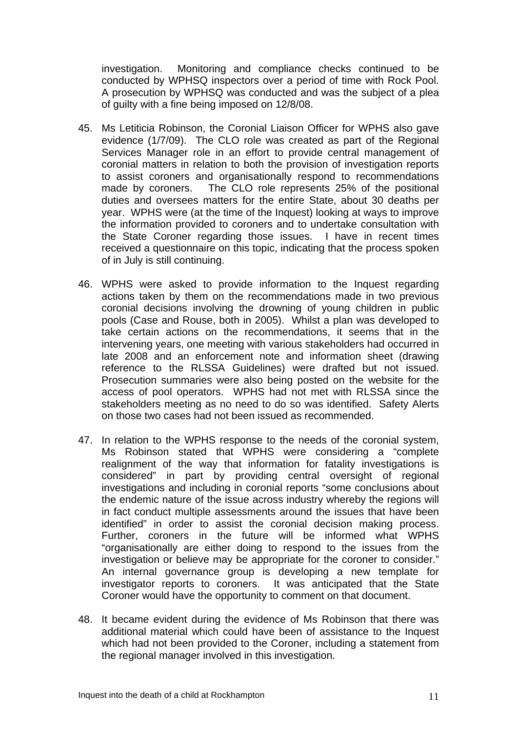investigation. Monitoring and compliance checks continued to be conducted by WPHSQ inspectors over a period of time with Rock Pool. A prosecution by WPHSQ was conducted and was the subject of a plea of guilty with a fine being imposed on 12/8/08.

- 45. Ms Letiticia Robinson, the Coronial Liaison Officer for WPHS also gave evidence (1/7/09). The CLO role was created as part of the Regional Services Manager role in an effort to provide central management of coronial matters in relation to both the provision of investigation reports to assist coroners and organisationally respond to recommendations made by coroners. The CLO role represents 25% of the positional duties and oversees matters for the entire State, about 30 deaths per year. WPHS were (at the time of the Inquest) looking at ways to improve the information provided to coroners and to undertake consultation with the State Coroner regarding those issues. I have in recent times received a questionnaire on this topic, indicating that the process spoken of in July is still continuing.
- 46. WPHS were asked to provide information to the Inquest regarding actions taken by them on the recommendations made in two previous coronial decisions involving the drowning of young children in public pools (Case and Rouse, both in 2005). Whilst a plan was developed to take certain actions on the recommendations, it seems that in the intervening years, one meeting with various stakeholders had occurred in late 2008 and an enforcement note and information sheet (drawing reference to the RLSSA Guidelines) were drafted but not issued. Prosecution summaries were also being posted on the website for the access of pool operators. WPHS had not met with RLSSA since the stakeholders meeting as no need to do so was identified. Safety Alerts on those two cases had not been issued as recommended.
- 47. In relation to the WPHS response to the needs of the coronial system, Ms Robinson stated that WPHS were considering a "complete realignment of the way that information for fatality investigations is considered" in part by providing central oversight of regional investigations and including in coronial reports "some conclusions about the endemic nature of the issue across industry whereby the regions will in fact conduct multiple assessments around the issues that have been identified" in order to assist the coronial decision making process. Further, coroners in the future will be informed what WPHS "organisationally are either doing to respond to the issues from the investigation or believe may be appropriate for the coroner to consider." An internal governance group is developing a new template for investigator reports to coroners. It was anticipated that the State Coroner would have the opportunity to comment on that document.
- 48. It became evident during the evidence of Ms Robinson that there was additional material which could have been of assistance to the Inquest which had not been provided to the Coroner, including a statement from the regional manager involved in this investigation.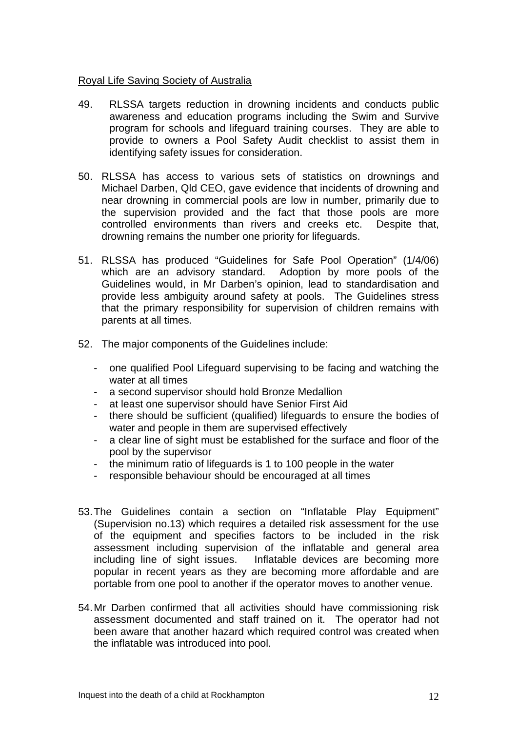#### Royal Life Saving Society of Australia

- 49. RLSSA targets reduction in drowning incidents and conducts public awareness and education programs including the Swim and Survive program for schools and lifeguard training courses. They are able to provide to owners a Pool Safety Audit checklist to assist them in identifying safety issues for consideration.
- 50. RLSSA has access to various sets of statistics on drownings and Michael Darben, Qld CEO, gave evidence that incidents of drowning and near drowning in commercial pools are low in number, primarily due to the supervision provided and the fact that those pools are more controlled environments than rivers and creeks etc. Despite that, drowning remains the number one priority for lifeguards.
- 51. RLSSA has produced "Guidelines for Safe Pool Operation" (1/4/06) which are an advisory standard. Adoption by more pools of the Guidelines would, in Mr Darben's opinion, lead to standardisation and provide less ambiguity around safety at pools. The Guidelines stress that the primary responsibility for supervision of children remains with parents at all times.
- 52. The major components of the Guidelines include:
	- one qualified Pool Lifeguard supervising to be facing and watching the water at all times
	- a second supervisor should hold Bronze Medallion
	- at least one supervisor should have Senior First Aid
	- there should be sufficient (qualified) lifeguards to ensure the bodies of water and people in them are supervised effectively
	- a clear line of sight must be established for the surface and floor of the pool by the supervisor
	- the minimum ratio of lifeguards is 1 to 100 people in the water
	- responsible behaviour should be encouraged at all times
- 53. The Guidelines contain a section on "Inflatable Play Equipment" (Supervision no.13) which requires a detailed risk assessment for the use of the equipment and specifies factors to be included in the risk assessment including supervision of the inflatable and general area including line of sight issues. Inflatable devices are becoming more popular in recent years as they are becoming more affordable and are portable from one pool to another if the operator moves to another venue.
- 54. Mr Darben confirmed that all activities should have commissioning risk assessment documented and staff trained on it. The operator had not been aware that another hazard which required control was created when the inflatable was introduced into pool.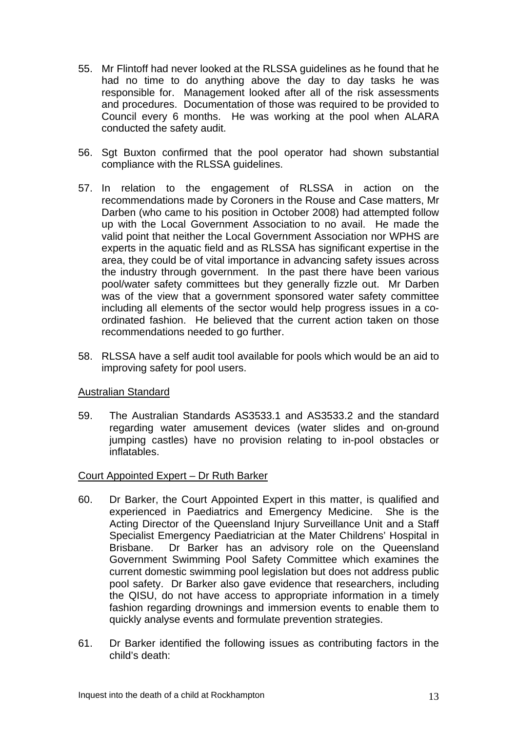- 55. Mr Flintoff had never looked at the RLSSA guidelines as he found that he had no time to do anything above the day to day tasks he was responsible for. Management looked after all of the risk assessments and procedures. Documentation of those was required to be provided to Council every 6 months. He was working at the pool when ALARA conducted the safety audit.
- 56. Sgt Buxton confirmed that the pool operator had shown substantial compliance with the RLSSA guidelines.
- 57. In relation to the engagement of RLSSA in action on the recommendations made by Coroners in the Rouse and Case matters, Mr Darben (who came to his position in October 2008) had attempted follow up with the Local Government Association to no avail. He made the valid point that neither the Local Government Association nor WPHS are experts in the aquatic field and as RLSSA has significant expertise in the area, they could be of vital importance in advancing safety issues across the industry through government. In the past there have been various pool/water safety committees but they generally fizzle out. Mr Darben was of the view that a government sponsored water safety committee including all elements of the sector would help progress issues in a coordinated fashion. He believed that the current action taken on those recommendations needed to go further.
- 58. RLSSA have a self audit tool available for pools which would be an aid to improving safety for pool users.

# Australian Standard

59. The Australian Standards AS3533.1 and AS3533.2 and the standard regarding water amusement devices (water slides and on-ground jumping castles) have no provision relating to in-pool obstacles or inflatables.

# Court Appointed Expert – Dr Ruth Barker

- 60. Dr Barker, the Court Appointed Expert in this matter, is qualified and experienced in Paediatrics and Emergency Medicine. She is the Acting Director of the Queensland Injury Surveillance Unit and a Staff Specialist Emergency Paediatrician at the Mater Childrens' Hospital in Brisbane. Dr Barker has an advisory role on the Queensland Government Swimming Pool Safety Committee which examines the current domestic swimming pool legislation but does not address public pool safety. Dr Barker also gave evidence that researchers, including the QISU, do not have access to appropriate information in a timely fashion regarding drownings and immersion events to enable them to quickly analyse events and formulate prevention strategies.
- 61. Dr Barker identified the following issues as contributing factors in the child's death: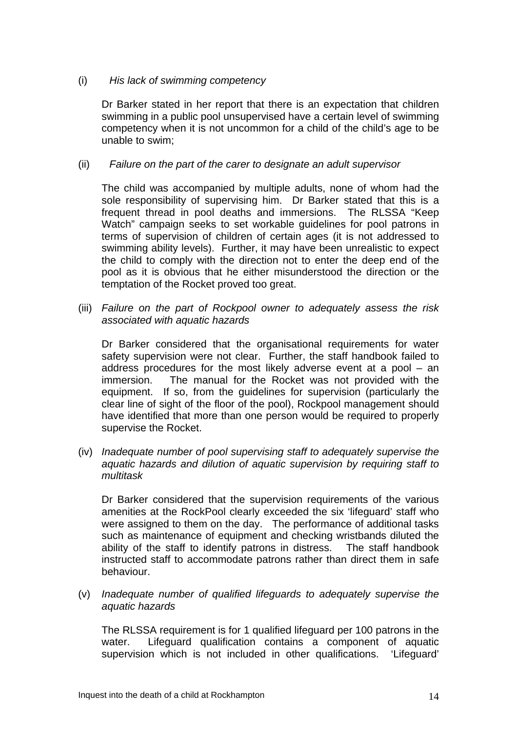#### (i) *His lack of swimming competency*

Dr Barker stated in her report that there is an expectation that children swimming in a public pool unsupervised have a certain level of swimming competency when it is not uncommon for a child of the child's age to be unable to swim;

#### (ii) *Failure on the part of the carer to designate an adult supervisor*

The child was accompanied by multiple adults, none of whom had the sole responsibility of supervising him. Dr Barker stated that this is a frequent thread in pool deaths and immersions. The RLSSA "Keep Watch" campaign seeks to set workable guidelines for pool patrons in terms of supervision of children of certain ages (it is not addressed to swimming ability levels). Further, it may have been unrealistic to expect the child to comply with the direction not to enter the deep end of the pool as it is obvious that he either misunderstood the direction or the temptation of the Rocket proved too great.

(iii) *Failure on the part of Rockpool owner to adequately assess the risk associated with aquatic hazards* 

Dr Barker considered that the organisational requirements for water safety supervision were not clear. Further, the staff handbook failed to address procedures for the most likely adverse event at a pool – an immersion. The manual for the Rocket was not provided with the equipment. If so, from the guidelines for supervision (particularly the clear line of sight of the floor of the pool), Rockpool management should have identified that more than one person would be required to properly supervise the Rocket.

(iv) *Inadequate number of pool supervising staff to adequately supervise the aquatic hazards and dilution of aquatic supervision by requiring staff to multitask* 

 Dr Barker considered that the supervision requirements of the various amenities at the RockPool clearly exceeded the six 'lifeguard' staff who were assigned to them on the day. The performance of additional tasks such as maintenance of equipment and checking wristbands diluted the ability of the staff to identify patrons in distress. The staff handbook instructed staff to accommodate patrons rather than direct them in safe behaviour.

(v) *Inadequate number of qualified lifeguards to adequately supervise the aquatic hazards* 

The RLSSA requirement is for 1 qualified lifeguard per 100 patrons in the water. Lifeguard qualification contains a component of aquatic supervision which is not included in other qualifications. 'Lifeguard'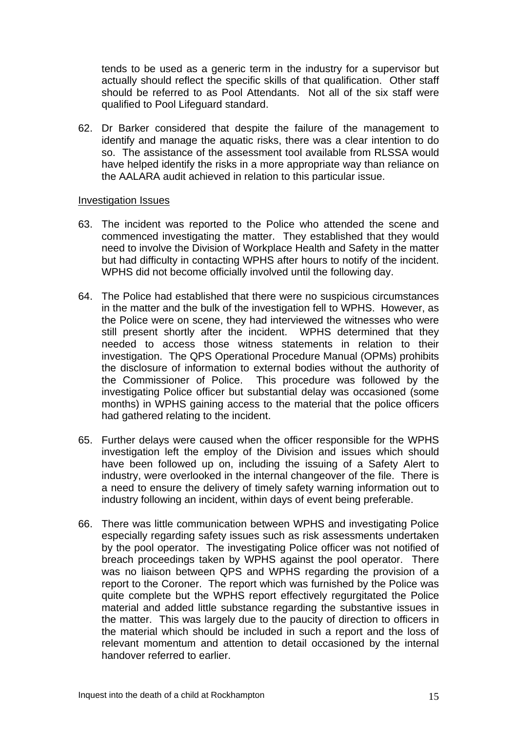tends to be used as a generic term in the industry for a supervisor but actually should reflect the specific skills of that qualification. Other staff should be referred to as Pool Attendants. Not all of the six staff were qualified to Pool Lifeguard standard.

62. Dr Barker considered that despite the failure of the management to identify and manage the aquatic risks, there was a clear intention to do so. The assistance of the assessment tool available from RLSSA would have helped identify the risks in a more appropriate way than reliance on the AALARA audit achieved in relation to this particular issue.

#### Investigation Issues

- 63. The incident was reported to the Police who attended the scene and commenced investigating the matter. They established that they would need to involve the Division of Workplace Health and Safety in the matter but had difficulty in contacting WPHS after hours to notify of the incident. WPHS did not become officially involved until the following day.
- 64. The Police had established that there were no suspicious circumstances in the matter and the bulk of the investigation fell to WPHS. However, as the Police were on scene, they had interviewed the witnesses who were still present shortly after the incident. WPHS determined that they needed to access those witness statements in relation to their investigation. The QPS Operational Procedure Manual (OPMs) prohibits the disclosure of information to external bodies without the authority of the Commissioner of Police. This procedure was followed by the investigating Police officer but substantial delay was occasioned (some months) in WPHS gaining access to the material that the police officers had gathered relating to the incident.
- 65. Further delays were caused when the officer responsible for the WPHS investigation left the employ of the Division and issues which should have been followed up on, including the issuing of a Safety Alert to industry, were overlooked in the internal changeover of the file. There is a need to ensure the delivery of timely safety warning information out to industry following an incident, within days of event being preferable.
- 66. There was little communication between WPHS and investigating Police especially regarding safety issues such as risk assessments undertaken by the pool operator. The investigating Police officer was not notified of breach proceedings taken by WPHS against the pool operator. There was no liaison between QPS and WPHS regarding the provision of a report to the Coroner. The report which was furnished by the Police was quite complete but the WPHS report effectively regurgitated the Police material and added little substance regarding the substantive issues in the matter. This was largely due to the paucity of direction to officers in the material which should be included in such a report and the loss of relevant momentum and attention to detail occasioned by the internal handover referred to earlier.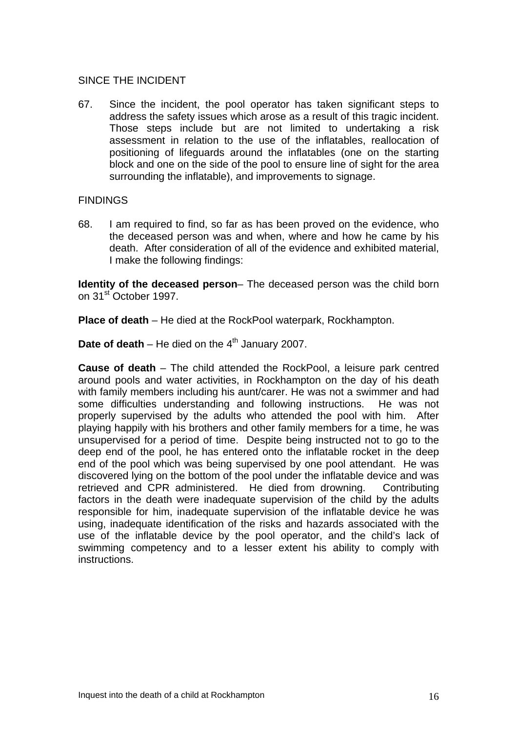#### SINCE THE INCIDENT

67. Since the incident, the pool operator has taken significant steps to address the safety issues which arose as a result of this tragic incident. Those steps include but are not limited to undertaking a risk assessment in relation to the use of the inflatables, reallocation of positioning of lifeguards around the inflatables (one on the starting block and one on the side of the pool to ensure line of sight for the area surrounding the inflatable), and improvements to signage.

#### FINDINGS

68. I am required to find, so far as has been proved on the evidence, who the deceased person was and when, where and how he came by his death. After consideration of all of the evidence and exhibited material, I make the following findings:

**Identity of the deceased person**– The deceased person was the child born on 31<sup>st</sup> October 1997.

**Place of death** – He died at the RockPool waterpark, Rockhampton.

**Date of death** – He died on the  $4<sup>th</sup>$  January 2007.

**Cause of death** – The child attended the RockPool, a leisure park centred around pools and water activities, in Rockhampton on the day of his death with family members including his aunt/carer. He was not a swimmer and had some difficulties understanding and following instructions. He was not properly supervised by the adults who attended the pool with him. After playing happily with his brothers and other family members for a time, he was unsupervised for a period of time. Despite being instructed not to go to the deep end of the pool, he has entered onto the inflatable rocket in the deep end of the pool which was being supervised by one pool attendant. He was discovered lying on the bottom of the pool under the inflatable device and was retrieved and CPR administered. He died from drowning. Contributing factors in the death were inadequate supervision of the child by the adults responsible for him, inadequate supervision of the inflatable device he was using, inadequate identification of the risks and hazards associated with the use of the inflatable device by the pool operator, and the child's lack of swimming competency and to a lesser extent his ability to comply with instructions.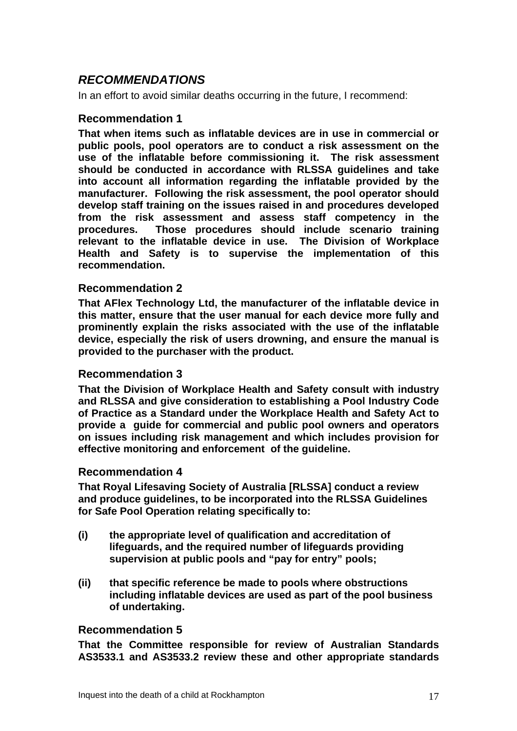# *RECOMMENDATIONS*

In an effort to avoid similar deaths occurring in the future, I recommend:

# **Recommendation 1**

**That when items such as inflatable devices are in use in commercial or public pools, pool operators are to conduct a risk assessment on the use of the inflatable before commissioning it. The risk assessment should be conducted in accordance with RLSSA guidelines and take into account all information regarding the inflatable provided by the manufacturer. Following the risk assessment, the pool operator should develop staff training on the issues raised in and procedures developed from the risk assessment and assess staff competency in the procedures. Those procedures should include scenario training relevant to the inflatable device in use. The Division of Workplace Health and Safety is to supervise the implementation of this recommendation.** 

# **Recommendation 2**

**That AFlex Technology Ltd, the manufacturer of the inflatable device in this matter, ensure that the user manual for each device more fully and prominently explain the risks associated with the use of the inflatable device, especially the risk of users drowning, and ensure the manual is provided to the purchaser with the product.** 

# **Recommendation 3**

**That the Division of Workplace Health and Safety consult with industry and RLSSA and give consideration to establishing a Pool Industry Code of Practice as a Standard under the Workplace Health and Safety Act to provide a guide for commercial and public pool owners and operators on issues including risk management and which includes provision for effective monitoring and enforcement of the guideline.** 

# **Recommendation 4**

**That Royal Lifesaving Society of Australia [RLSSA] conduct a review and produce guidelines, to be incorporated into the RLSSA Guidelines for Safe Pool Operation relating specifically to:** 

- **(i) the appropriate level of qualification and accreditation of lifeguards, and the required number of lifeguards providing supervision at public pools and "pay for entry" pools;**
- **(ii) that specific reference be made to pools where obstructions including inflatable devices are used as part of the pool business of undertaking.**

# **Recommendation 5**

**That the Committee responsible for review of Australian Standards AS3533.1 and AS3533.2 review these and other appropriate standards**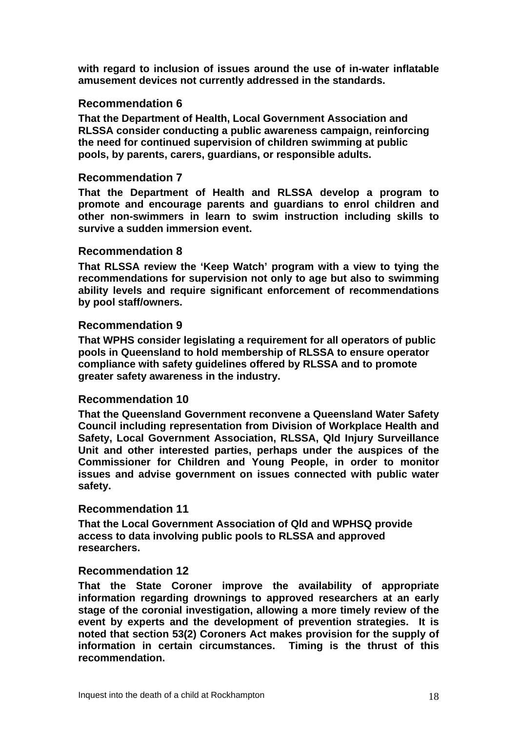**with regard to inclusion of issues around the use of in-water inflatable amusement devices not currently addressed in the standards.** 

# **Recommendation 6**

**That the Department of Health, Local Government Association and RLSSA consider conducting a public awareness campaign, reinforcing the need for continued supervision of children swimming at public pools, by parents, carers, guardians, or responsible adults.** 

# **Recommendation 7**

**That the Department of Health and RLSSA develop a program to promote and encourage parents and guardians to enrol children and other non-swimmers in learn to swim instruction including skills to survive a sudden immersion event.** 

#### **Recommendation 8**

**That RLSSA review the 'Keep Watch' program with a view to tying the recommendations for supervision not only to age but also to swimming ability levels and require significant enforcement of recommendations by pool staff/owners.** 

# **Recommendation 9**

**That WPHS consider legislating a requirement for all operators of public pools in Queensland to hold membership of RLSSA to ensure operator compliance with safety guidelines offered by RLSSA and to promote greater safety awareness in the industry.** 

# **Recommendation 10**

**That the Queensland Government reconvene a Queensland Water Safety Council including representation from Division of Workplace Health and Safety, Local Government Association, RLSSA, Qld Injury Surveillance Unit and other interested parties, perhaps under the auspices of the Commissioner for Children and Young People, in order to monitor issues and advise government on issues connected with public water safety.** 

# **Recommendation 11**

**That the Local Government Association of Qld and WPHSQ provide access to data involving public pools to RLSSA and approved researchers.** 

# **Recommendation 12**

**That the State Coroner improve the availability of appropriate information regarding drownings to approved researchers at an early stage of the coronial investigation, allowing a more timely review of the event by experts and the development of prevention strategies. It is noted that section 53(2) Coroners Act makes provision for the supply of information in certain circumstances. Timing is the thrust of this recommendation.**